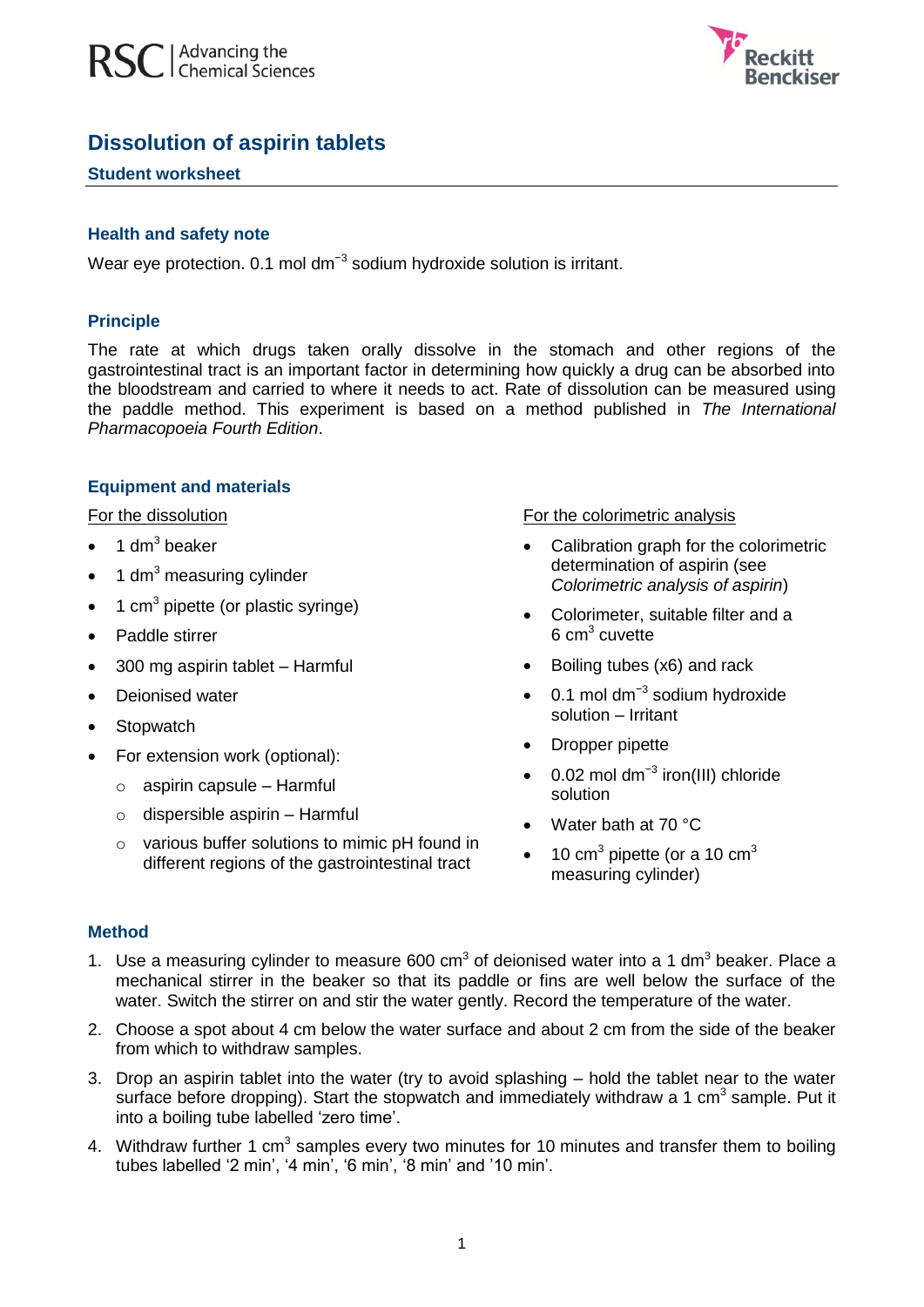



# **Dissolution of aspirin tablets**

#### **Student worksheet**

#### **Health and safety note**

Wear eye protection. 0.1 mol dm<sup>-3</sup> sodium hydroxide solution is irritant.

#### **Principle**

The rate at which drugs taken orally dissolve in the stomach and other regions of the gastrointestinal tract is an important factor in determining how quickly a drug can be absorbed into the bloodstream and carried to where it needs to act. Rate of dissolution can be measured using the paddle method. This experiment is based on a method published in *The International Pharmacopoeia Fourth Edition*.

#### **Equipment and materials**

For the dissolution

- $\bullet$  1 dm<sup>3</sup> beaker
- 1 dm $3$  measuring cylinder
- $\bullet$  1 cm<sup>3</sup> pipette (or plastic syringe)
- Paddle stirrer
- 300 mg aspirin tablet Harmful
- Deionised water
- Stopwatch
- For extension work (optional):
	- o aspirin capsule Harmful
	- $\circ$  dispersible aspirin Harmful
	- o various buffer solutions to mimic pH found in different regions of the gastrointestinal tract

#### For the colorimetric analysis

- Calibration graph for the colorimetric determination of aspirin (see *Colorimetric analysis of aspirin*)
- Colorimeter, suitable filter and a  $6 \text{ cm}^3$  cuvette
- Boiling tubes (x6) and rack
- 0.1 mol dm<sup>-3</sup> sodium hydroxide solution – Irritant
- Dropper pipette
- $\bullet$  0.02 mol dm<sup>-3</sup> iron(III) chloride solution
- Water bath at 70 °C
- 10 cm<sup>3</sup> pipette (or a 10 cm<sup>3</sup> measuring cylinder)

### **Method**

- 1. Use a measuring cylinder to measure 600  $cm<sup>3</sup>$  of deionised water into a 1 dm<sup>3</sup> beaker. Place a mechanical stirrer in the beaker so that its paddle or fins are well below the surface of the water. Switch the stirrer on and stir the water gently. Record the temperature of the water.
- 2. Choose a spot about 4 cm below the water surface and about 2 cm from the side of the beaker from which to withdraw samples.
- 3. Drop an aspirin tablet into the water (try to avoid splashing hold the tablet near to the water surface before dropping). Start the stopwatch and immediately withdraw a 1 cm<sup>3</sup> sample. Put it into a boiling tube labelled 'zero time'.
- 4. Withdraw further 1 cm<sup>3</sup> samples every two minutes for 10 minutes and transfer them to boiling tubes labelled '2 min', '4 min', '6 min', '8 min' and '10 min'.